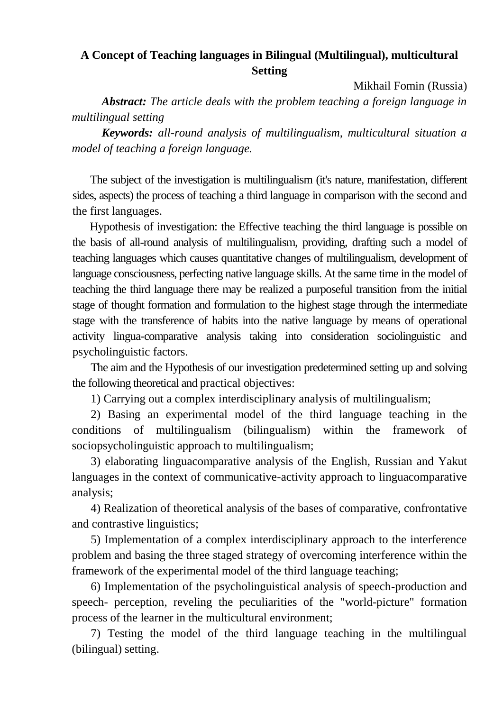## **A Concept of Teaching languages in Bilingual (Multilingual), multicultural Setting**

Mikhail Fomin (Russia)

*Abstract: The article deals with the problem teaching a foreign language in multilingual setting*

*Keywords: all-round analysis of multilingualism, multicultural situation a model of teaching a foreign language.*

The subject of the investigation is multilingualism (it's nature, manifestation, different sides, aspects) the process of teaching a third language in comparison with the second and the first languages.

Hypothesis of investigation: the Effective teaching the third language is possible on the basis of all-round analysis of multilingualism, providing, drafting such a model of teaching languages which causes quantitative changes of multilingualism, development of language consciousness, perfecting native language skills. At the same time in the model of teaching the third language there may be realized a purposeful transition from the initial stage of thought formation and formulation to the highest stage through the intermediate stage with the transference of habits into the native language by means of operational activity lingua-comparative analysis taking into consideration sociolinguistic and psycholinguistic factors.

The aim and the Hypothesis of our investigation predetermined setting up and solving the following theoretical and practical objectives:

1) Carrying out a complex interdisciplinary analysis of multilingualism;

2) Basing an experimental model of the third language teaching in the conditions of multilingualism (bilingualism) within the framework of sociopsycholinguistic approach to multilingualism;

3) elaborating linguacomparative analysis of the English, Russian and Yakut languages in the context of communicative-activity approach to linguacomparative analysis;

4) Realization of theoretical analysis of the bases of comparative, confrontative and contrastive linguistics;

5) Implementation of a complex interdisciplinary approach to the interference problem and basing the three staged strategy of overcoming interference within the framework of the experimental model of the third language teaching;

6) Implementation of the psycholinguistical analysis of speech-production and speech- perception, reveling the peculiarities of the "world-picture" formation process of the learner in the multicultural environment;

7) Testing the model of the third language teaching in the multilingual (bilingual) setting.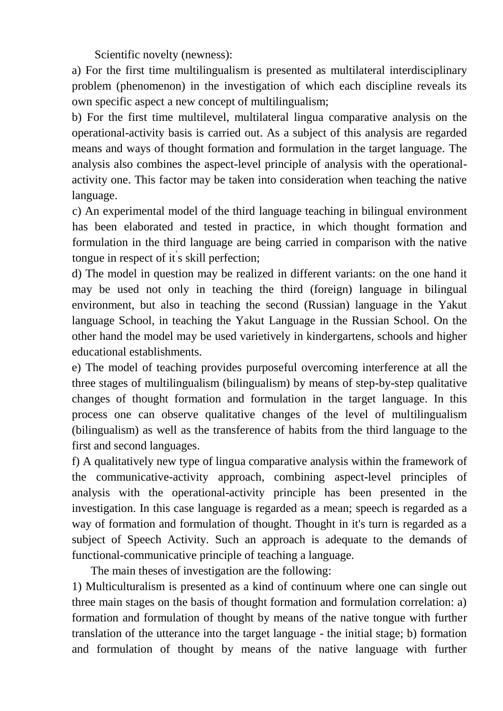Scientific novelty (newness):

a) For the first time multilingualism is presented as multilateral interdisciplinary problem (phenomenon) in the investigation of which each discipline reveals its own specific aspect a new concept of multilingualism;

b) For the first time multilevel, multilateral lingua comparative analysis on the operational-activity basis is carried out. As a subject of this analysis are regarded means and ways of thought formation and formulation in the target language. The analysis also combines the aspect-level principle of analysis with the operationalactivity one. This factor may be taken into consideration when teaching the native language.

c) An experimental model of the third language teaching in bilingual environment has been elaborated and tested in practice, in which thought formation and formulation in the third language are being carried in comparison with the native tongue in respect of it s skill perfection;

d) The model in question may be realized in different variants: on the one hand it may be used not only in teaching the third (foreign) language in bilingual environment, but also in teaching the second (Russian) language in the Yakut language School, in teaching the Yakut Language in the Russian School. On the other hand the model may be used varietively in kindergartens, schools and higher educational establishments.

e) The model of teaching provides purposeful overcoming interference at all the three stages of multilingualism (bilingualism) by means of step-by-step qualitative changes of thought formation and formulation in the target language. In this process one can observe qualitative changes of the level of multilingualism (bilingualism) as well as the transference of habits from the third language to the first and second languages.

f) A qualitatively new type of lingua comparative analysis within the framework of the communicative-activity approach, combining aspect-level principles of analysis with the operational-activity principle has been presented in the investigation. In this case language is regarded as a mean; speech is regarded as a way of formation and formulation of thought. Thought in it's turn is regarded as a subject of Speech Activity. Such an approach is adequate to the demands of functional-communicative principle of teaching a language.

The main theses of investigation are the following:

1) Multiculturalism is presented as a kind of continuum where one can single out three main stages on the basis of thought formation and formulation correlation: a) formation and formulation of thought by means of the native tongue with further translation of the utterance into the target language - the initial stage; b) formation and formulation of thought by means of the native language with further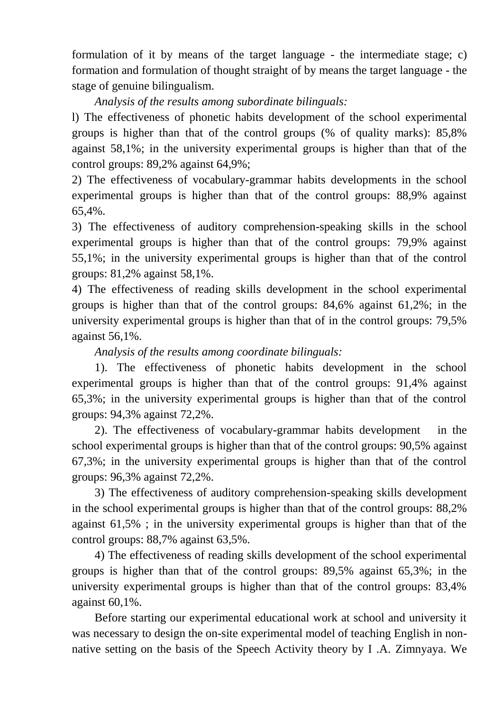formulation of it by means of the target language - the intermediate stage; c) formation and formulation of thought straight of by means the target language - the stage of genuine bilingualism.

## *Analysis of the results among subordinate bilinguals:*

l) The effectiveness of phonetic habits development of the school experimental groups is higher than that of the control groups (% of quality marks): 85,8% against 58,1%; in the university experimental groups is higher than that of the control groups: 89,2% against 64,9%;

2) The effectiveness of vocabulary-grammar habits developments in the school experimental groups is higher than that of the control groups: 88,9% against 65,4%.

3) The effectiveness of auditory comprehension-speaking skills in the school experimental groups is higher than that of the control groups: 79,9% against 55,1%; in the university experimental groups is higher than that of the control groups: 81,2% against 58,1%.

4) The effectiveness of reading skills development in the school experimental groups is higher than that of the control groups: 84,6% against 61,2%; in the university experimental groups is higher than that of in the control groups: 79,5% against 56,1%.

## *Analysis of the results among coordinate bilinguals:*

1). The effectiveness of phonetic habits development in the school experimental groups is higher than that of the control groups: 91,4% against 65,3%; in the university experimental groups is higher than that of the control groups: 94,3% against 72,2%.

2). The effectiveness of vocabulary-grammar habits development in the school experimental groups is higher than that of the control groups: 90,5% against 67,3%; in the university experimental groups is higher than that of the control groups: 96,3% against 72,2%.

3) The effectiveness of auditory comprehension-speaking skills development in the school experimental groups is higher than that of the control groups: 88,2% against 61,5% ; in the university experimental groups is higher than that of the control groups: 88,7% against 63,5%.

4) The effectiveness of reading skills development of the school experimental groups is higher than that of the control groups: 89,5% against 65,3%; in the university experimental groups is higher than that of the control groups: 83,4% against 60,1%.

Before starting our experimental educational work at school and university it was necessary to design the on-site experimental model of teaching English in nonnative setting on the basis of the Speech Activity theory by I .A. Zimnyaya. We